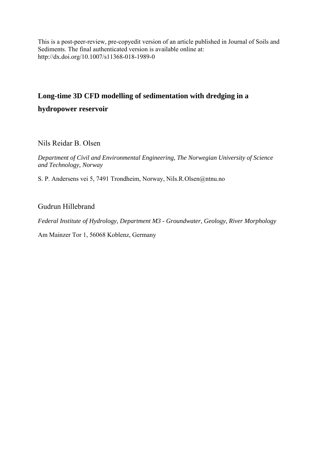This is a post-peer-review, pre-copyedit version of an article published in Journal of Soils and Sediments. The final authenticated version is available online at: http://dx.doi.org/10.1007/s11368-018-1989-0

# **Long-time 3D CFD modelling of sedimentation with dredging in a**

**hydropower reservoir** 

Nils Reidar B. Olsen

*Department of Civil and Environmental Engineering, The Norwegian University of Science and Technology, Norway* 

S. P. Andersens vei 5, 7491 Trondheim, Norway, Nils.R.Olsen@ntnu.no

# Gudrun Hillebrand

*Federal Institute of Hydrology, Department M3 - Groundwater, Geology, River Morphology* 

Am Mainzer Tor 1, 56068 Koblenz, Germany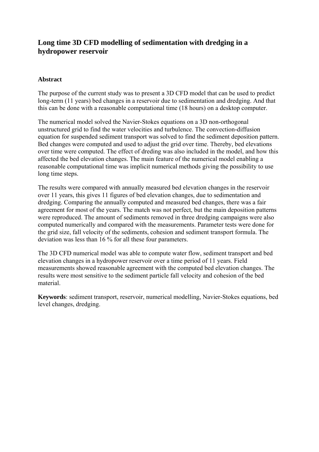# **Long time 3D CFD modelling of sedimentation with dredging in a hydropower reservoir**

## **Abstract**

The purpose of the current study was to present a 3D CFD model that can be used to predict long-term (11 years) bed changes in a reservoir due to sedimentation and dredging. And that this can be done with a reasonable computational time (18 hours) on a desktop computer.

The numerical model solved the Navier-Stokes equations on a 3D non-orthogonal unstructured grid to find the water velocities and turbulence. The convection-diffusion equation for suspended sediment transport was solved to find the sediment deposition pattern. Bed changes were computed and used to adjust the grid over time. Thereby, bed elevations over time were computed. The effect of dreding was also included in the model, and how this affected the bed elevation changes. The main feature of the numerical model enabling a reasonable computational time was implicit numerical methods giving the possibility to use long time steps.

The results were compared with annually measured bed elevation changes in the reservoir over 11 years, this gives 11 figures of bed elevation changes, due to sedimentation and dredging. Comparing the annually computed and measured bed changes, there was a fair agreement for most of the years. The match was not perfect, but the main deposition patterns were reproduced. The amount of sediments removed in three dredging campaigns were also computed numerically and compared with the measurements. Parameter tests were done for the grid size, fall velocity of the sediments, cohesion and sediment transport formula. The deviation was less than 16 % for all these four parameters.

The 3D CFD numerical model was able to compute water flow, sediment transport and bed elevation changes in a hydropower reservoir over a time period of 11 years. Field measurements showed reasonable agreement with the computed bed elevation changes. The results were most sensitive to the sediment particle fall velocity and cohesion of the bed material.

**Keywords**: sediment transport, reservoir, numerical modelling, Navier-Stokes equations, bed level changes, dredging.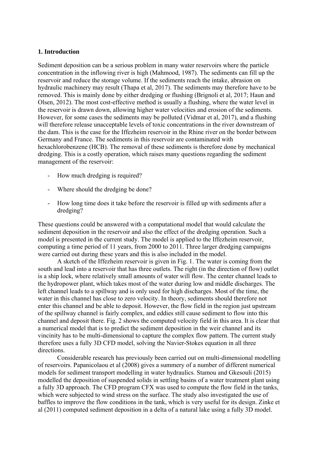#### **1. Introduction**

Sediment deposition can be a serious problem in many water reservoirs where the particle concentration in the inflowing river is high (Mahmood, 1987). The sediments can fill up the reservoir and reduce the storage volume. If the sediments reach the intake, abrasion on hydraulic machinery may result (Thapa et al, 2017). The sediments may therefore have to be removed. This is mainly done by either dredging or flushing (Brignoli et al, 2017; Haun and Olsen, 2012). The most cost-effective method is usually a flushing, where the water level in the reservoir is drawn down, allowing higher water velocities and erosion of the sediments. However, for some cases the sediments may be polluted (Vidmar et al, 2017), and a flushing will therefore release unacceptable levels of toxic concentrations in the river downstream of the dam. This is the case for the Iffezheim reservoir in the Rhine river on the border between Germany and France. The sediments in this reservoir are contaminated with hexachlorobenzene (HCB). The removal of these sediments is therefore done by mechanical dredging. This is a costly operation, which raises many questions regarding the sediment management of the reservoir:

- How much dredging is required?
- Where should the dredging be done?
- How long time does it take before the reservoir is filled up with sediments after a dredging?

These questions could be answered with a computational model that would calculate the sediment deposition in the reservoir and also the effect of the dredging operation. Such a model is presented in the current study. The model is applied to the Iffezheim reservoir, computing a time period of 11 years, from 2000 to 2011. Three larger dredging campaigns were carried out during these years and this is also included in the model.

A sketch of the Iffezheim reservoir is given in Fig. 1. The water is coming from the south and lead into a reservoir that has three outlets. The right (in the direction of flow) outlet is a ship lock, where relatively small amounts of water will flow. The center channel leads to the hydropower plant, which takes most of the water during low and middle discharges. The left channel leads to a spillway and is only used for high discharges. Most of the time, the water in this channel has close to zero velocity. In theory, sediments should therefore not enter this channel and be able to deposit. However, the flow field in the region just upstream of the spillway channel is fairly complex, and eddies still cause sediment to flow into this channel and deposit there. Fig. 2 shows the computed velocity field in this area. It is clear that a numerical model that is to predict the sediment deposition in the weir channel and its vincinity has to be multi-dimensional to capture the complex flow pattern. The current study therefore uses a fully 3D CFD model, solving the Navier-Stokes equation in all three directions.

Considerable research has previously been carried out on multi-dimensional modelling of reservoirs. Papanicolaou et al (2008) gives a summery of a number of different numerical models for sediment transport modelling in water hydraulics. Stamou and Gkesouli (2015) modelled the deposition of suspended solids in settling basins of a water treatment plant using a fully 3D approach. The CFD program CFX was used to compute the flow field in the tanks, which were subjected to wind stress on the surface. The study also investigated the use of baffles to improve the flow conditions in the tank, which is very useful for its design. Zinke et al (2011) computed sediment deposition in a delta of a natural lake using a fully 3D model.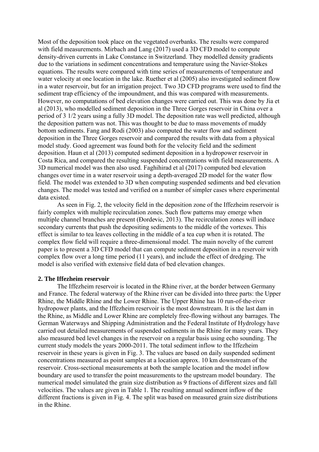Most of the deposition took place on the vegetated overbanks. The results were compared with field measurements. Mirbach and Lang (2017) used a 3D CFD model to compute density-driven currents in Lake Constance in Switzerland. They modelled density gradients due to the variations in sediment concentrations and temperature using the Navier-Stokes equations. The results were compared with time series of measurements of temperature and water velocity at one location in the lake. Ruether et al (2005) also investigated sediment flow in a water reservoir, but for an irrigation project. Two 3D CFD programs were used to find the sediment trap efficiency of the impoundment, and this was compared with measurements. However, no computations of bed elevation changes were carried out. This was done by Jia et al (2013), who modelled sediment deposition in the Three Gorges reservoir in China over a period of 3 1/2 years using a fully 3D model. The deposition rate was well predicted, although the deposition pattern was not. This was thought to be due to mass movements of muddy bottom sediments. Fang and Rodi (2003) also computed the water flow and sediment deposition in the Three Gorges reservoir and compared the results with data from a physical model study. Good agreement was found both for the velocity field and the sediment deposition. Haun et al (2013) computed sediment deposition in a hydropower reservoir in Costa Rica, and compared the resulting suspended concentrations with field measurements. A 3D numerical model was then also used. Faghihirad et al (2017) computed bed elevation changes over time in a water reservoir using a depth-averaged 2D model for the water flow field. The model was extended to 3D when computing suspended sediments and bed elevation changes. The model was tested and verified on a number of simpler cases where experimental data existed.

As seen in Fig. 2, the velocity field in the deposition zone of the Iffezheim reservoir is fairly complex with multiple recirculation zones. Such flow patterns may emerge when multiple channel branches are present (Đordevic, 2013). The recirculation zones will induce secondary currents that push the depositing sediments to the middle of the vortexes. This effect is similar to tea leaves collecting in the middle of a tea cup when it is rotated. The complex flow field will require a three-dimensional model. The main novelty of the current paper is to present a 3D CFD model that can compute sediment deposition in a reservoir with complex flow over a long time period (11 years), and include the effect of dredging. The model is also verified with extensive field data of bed elevation changes.

#### **2. The Iffezheim reservoir**

The Iffezheim reservoir is located in the Rhine river, at the border between Germany and France. The federal waterway of the Rhine river can be divided into three parts: the Upper Rhine, the Middle Rhine and the Lower Rhine. The Upper Rhine has 10 run-of-the-river hydropower plants, and the Iffezheim reservoir is the most downstream. It is the last dam in the Rhine, as Middle and Lower Rhine are completely free-flowing without any barrages. The German Waterways and Shipping Administration and the Federal Institute of Hydrology have carried out detailed measurements of suspended sediments in the Rhine for many years. They also measured bed level changes in the reservoir on a regular basis using echo sounding. The current study models the years 2000-2011. The total sediment inflow to the Iffezheim reservoir in these years is given in Fig. 3. The values are based on daily suspended sediment concentrations measured as point samples at a location approx. 10 km downstream of the reservoir. Cross-sectional measurements at both the sample location and the model inflow boundary are used to transfer the point measurements to the upstream model boundary. The numerical model simulated the grain size distribution as 9 fractions of different sizes and fall velocities. The values are given in Table 1. The resulting annual sediment inflow of the different fractions is given in Fig. 4. The split was based on measured grain size distributions in the Rhine.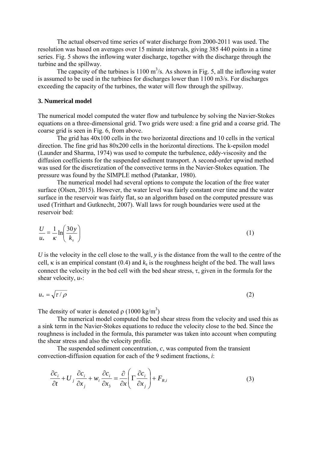The actual observed time series of water discharge from 2000-2011 was used. The resolution was based on averages over 15 minute intervals, giving 385 440 points in a time series. Fig. 5 shows the inflowing water discharge, together with the discharge through the turbine and the spillway.

The capacity of the turbines is  $1100 \text{ m}^3$ /s. As shown in Fig. 5, all the inflowing water is assumed to be used in the turbines for discharges lower than 1100 m3/s. For discharges exceeding the capacity of the turbines, the water will flow through the spillway.

#### **3. Numerical model**

The numerical model computed the water flow and turbulence by solving the Navier-Stokes equations on a three-dimensional grid. Two grids were used: a fine grid and a coarse grid. The coarse grid is seen in Fig. 6, from above.

 The grid has 40x100 cells in the two horizontal directions and 10 cells in the vertical direction. The fine grid has 80x200 cells in the horizontal directions. The k-epsilon model (Launder and Sharma, 1974) was used to compute the turbulence, eddy-viscosity and the diffusion coefficients for the suspended sediment transport. A second-order upwind method was used for the discretization of the convective terms in the Navier-Stokes equation. The pressure was found by the SIMPLE method (Patankar, 1980).

 The numerical model had several options to compute the location of the free water surface (Olsen, 2015). However, the water level was fairly constant over time and the water surface in the reservoir was fairly flat, so an algorithm based on the computed pressure was used (Tritthart and Gutknecht, 2007). Wall laws for rough boundaries were used at the reservoir bed:

$$
\frac{U}{u_*} = \frac{1}{\kappa} \ln \left( \frac{30y}{k_s} \right) \tag{1}
$$

*U* is the velocity in the cell close to the wall, *y* is the distance from the wall to the centre of the cell,  $\kappa$  is an empirical constant (0.4) and  $k_s$  is the roughness height of the bed. The wall laws connect the velocity in the bed cell with the bed shear stress,  $\tau$ , given in the formula for the shear velocity, *u*\*:

$$
u_* = \sqrt{\tau / \rho} \tag{2}
$$

The density of water is denoted  $\rho$  (1000 kg/m<sup>3</sup>)

 The numerical model computed the bed shear stress from the velocity and used this as a sink term in the Navier-Stokes equations to reduce the velocity close to the bed. Since the roughness is included in the formula, this parameter was taken into account when computing the shear stress and also the velocity profile.

 The suspended sediment concentration, *c*, was computed from the transient convection-diffusion equation for each of the 9 sediment fractions, *i*:

$$
\frac{\partial c_i}{\partial t} + U_j \frac{\partial c_i}{\partial x_j} + w_i \frac{\partial c_i}{\partial x_3} = \frac{\partial}{\partial x} \left( \Gamma \frac{\partial c_i}{\partial x_j} \right) + F_{R,i}
$$
\n(3)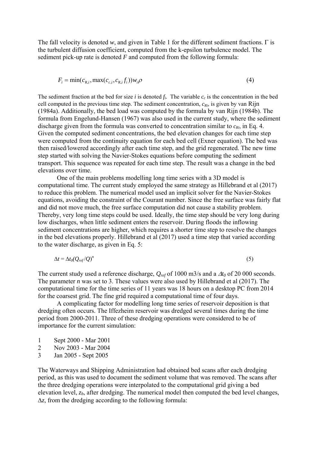The fall velocity is denoted  $w$ , and given in Table 1 for the different sediment fractions.  $\Gamma$  is the turbulent diffusion coefficient, computed from the k-epsilon turbulence model. The sediment pick-up rate is denoted *F* and computed from the following formula:

$$
F_i = \min(c_{\text{R},i}, \max(c_{c,i}, c_{\text{R},i}, f_i))w_i \rho
$$
\n<sup>(4)</sup>

The sediment fraction at the bed for size *i* is denoted  $f_i$ . The variable  $c_c$  is the concentration in the bed cell computed in the previous time step. The sediment concentration,  $c_{Ri}$ , is given by van Rijn (1984a). Additionally, the bed load was computed by the formula by van Rijn (1984b). The formula from Engelund-Hansen (1967) was also used in the current study, where the sediment discharge given from the formula was converted to concentration similar to  $c_{Ri}$ , in Eq. 4. Given the computed sediment concentrations, the bed elevation changes for each time step were computed from the continuity equation for each bed cell (Exner equation). The bed was then raised/lowered accordingly after each time step, and the grid regenerated. The new time step started with solving the Navier-Stokes equations before computing the sediment transport. This sequence was repeated for each time step. The result was a change in the bed elevations over time.

 One of the main problems modelling long time series with a 3D model is computational time. The current study employed the same strategy as Hillebrand et al (2017) to reduce this problem. The numerical model used an implicit solver for the Navier-Stokes equations, avoiding the constraint of the Courant number. Since the free surface was fairly flat and did not move much, the free surface computation did not cause a stability problem. Thereby, very long time steps could be used. Ideally, the time step should be very long during low discharges, when little sediment enters the reservoir. During floods the inflowing sediment concentrations are higher, which requires a shorter time step to resolve the changes in the bed elevations properly. Hillebrand et al (2017) used a time step that varied according to the water discharge, as given in Eq. 5:

$$
\Delta t = \Delta t_0 (Q_{ref}/Q)^n \tag{5}
$$

The current study used a reference discharge,  $Q_{ref}$  of 1000 m3/s and a  $\Delta t_0$  of 20 000 seconds. The parameter *n* was set to 3. These values were also used by Hillebrand et al (2017). The computational time for the time series of 11 years was 18 hours on a desktop PC from 2014 for the coarsest grid. The fine grid required a computational time of four days.

 A complicating factor for modelling long time series of reservoir deposition is that dredging often occurs. The Iffezheim reservoir was dredged several times during the time period from 2000-2011. Three of these dredging operations were considered to be of importance for the current simulation:

1 Sept 2000 - Mar 2001

2 Nov 2003 - Mar 2004

3 Jan 2005 - Sept 2005

The Waterways and Shipping Administration had obtained bed scans after each dredging period, as this was used to document the sediment volume that was removed. The scans after the three dredging operations were interpolated to the computational grid giving a bed elevation level, *zb*, after dredging. The numerical model then computed the bed level changes,  $\Delta z$ , from the dredging according to the following formula: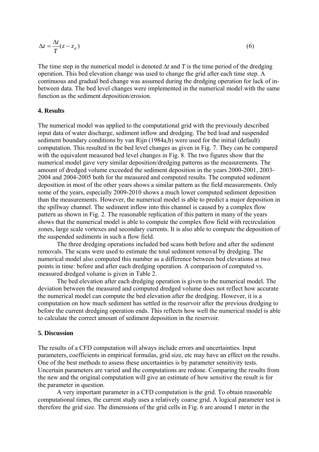$$
\Delta z = \frac{\Delta t}{T} (z - z_d) \tag{6}
$$

The time step in the numerical model is denoted  $\Delta t$  and T is the time period of the dredging operation. This bed elevation change was used to change the grid after each time step. A continuous and gradual bed change was assumed during the dredging operation for lack of inbetween data. The bed level changes were implemented in the numerical model with the same function as the sediment deposition/erosion.

#### **4. Results**

The numerical model was applied to the computational grid with the previously described input data of water discharge, sediment inflow and dredging. The bed load and suspended sediment boundary conditions by van Rijn (1984a,b) were used for the initial (default) computation. This resulted in the bed level changes as given in Fig. 7. They can be compared with the equivalent measured bed level changes in Fig. 8. The two figures show that the numerical model gave very similar deposition/dredging patterns as the measurements. The amount of dredged volume exceeded the sediment deposition in the years 2000-2001, 2003- 2004 and 2004-2005 both for the measured and computed results. The computed sediment deposition in most of the other years shows a similar pattern as the field measurements. Only some of the years, especially 2009-2010 shows a much lower computed sediment deposition than the measurements. However, the numerical model is able to predict a major deposition in the spillway channel. The sediment inflow into this channel is caused by a complex flow pattern as shown in Fig. 2. The reasonable replication of this pattern in many of the years shows that the numerical model is able to compute the complex flow field with recirculation zones, large scale vortexes and secondary currents. It is also able to compute the deposition of the suspended sediments in such a flow field.

 The three dredging operations included bed scans both before and after the sediment removals. The scans were used to estimate the total sediment removal by dredging. The numerical model also computed this number as a difference between bed elevations at two points in time: before and after each dredging operation. A comparison of computed vs. measured dredged volume is given in Table 2.

 The bed elevation after each dredging operation is given to the numerical model. The deviation between the measured and computed dredged volume does not reflect how accurate the numerical model can compute the bed elevation after the dredging. However, it is a computation on how much sediment has settled in the reservoir after the previous dredging to before the current dredging operation ends. This reflects how well the numerical model is able to calculate the correct amount of sediment deposition in the reservoir.

#### **5. Discussion**

The results of a CFD computation will always include errors and uncertainties. Input parameters, coefficients in empirical formulas, grid size, etc may have an effect on the results. One of the best methods to assess these uncertainties is by parameter sensitivity tests. Uncertain parameters are varied and the computations are redone. Comparing the results from the new and the original computation will give an estimate of how sensitive the result is for the parameter in question.

 A very important parameter in a CFD computation is the grid. To obtain reasonable computational times, the current study uses a relatively coarse grid. A logical parameter test is therefore the grid size. The dimensions of the grid cells in Fig. 6 are around 1 meter in the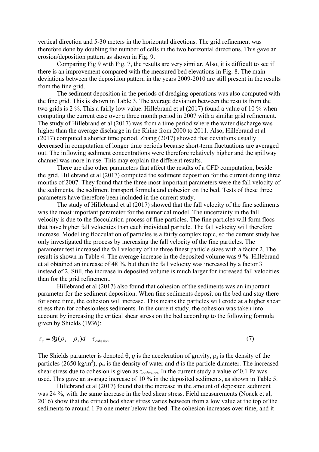vertical direction and 5-30 meters in the horizontal directions. The grid refinement was therefore done by doubling the number of cells in the two horizontal directions. This gave an erosion/deposition pattern as shown in Fig. 9.

 Comparing Fig 9 with Fig. 7, the results are very similar. Also, it is difficult to see if there is an improvement compared with the measured bed elevations in Fig. 8. The main deviations between the deposition pattern in the years 2009-2010 are still present in the results from the fine grid.

 The sediment deposition in the periods of dredging operations was also computed with the fine grid. This is shown in Table 3. The average deviation between the results from the two grids is 2 %. This a fairly low value. Hillebrand et al (2017) found a value of 10 % when computing the current case over a three month period in 2007 with a similar grid refinement. The study of Hillebrand et al (2017) was from a time period where the water discharge was higher than the average discharge in the Rhine from 2000 to 2011. Also, Hillebrand et al (2017) computed a shorter time period. Zhang (2017) showed that deviations usually decreased in computation of longer time periods because short-term fluctuations are averaged out. The inflowing sediment concentrations were therefore relatively higher and the spillway channel was more in use. This may explain the different results.

 There are also other parameters that affect the results of a CFD computation, beside the grid. Hillebrand et al (2017) computed the sediment deposition for the current during three months of 2007. They found that the three most important parameters were the fall velocity of the sediments, the sediment transport formula and cohesion on the bed. Tests of these three parameters have therefore been included in the current study.

 The study of Hillebrand et al (2017) showed that the fall velocity of the fine sediments was the most important parameter for the numerical model. The uncertainty in the fall velocity is due to the flocculation process of fine particles. The fine particles will form flocs that have higher fall velocities than each individual particle. The fall velocity will therefore increase. Modelling flocculation of particles is a fairly complex topic, so the current study has only investigated the process by increasing the fall velocity of the fine particles. The parameter test increased the fall velocity of the three finest particle sizes with a factor 2. The result is shown in Table 4. The average increase in the deposited volume was 9 %. Hillebrand et al obtained an increase of 48 %, but then the fall velocity was increased by a factor 3 instead of 2. Still, the increase in deposited volume is much larger for increased fall velocities than for the grid refinement.

 Hillebrand et al (2017) also found that cohesion of the sediments was an important parameter for the sediment deposition. When fine sediments deposit on the bed and stay there for some time, the cohesion will increase. This means the particles will erode at a higher shear stress than for cohesionless sediments. In the current study, the cohesion was taken into account by increasing the critical shear stress on the bed according to the following formula given by Shields (1936):

$$
\tau_c = \theta g(\rho_s - \rho_s)d + \tau_{\text{cohesion}} \tag{7}
$$

The Shields parameter is denoted  $\theta$ , *g* is the acceleration of gravity,  $\rho_s$  is the density of the particles (2650 kg/m<sup>3</sup>),  $\rho_w$  is the density of water and *d* is the particle diameter. The increased shear stress due to cohesion is given as *cohesion*. In the current study a value of 0.1 Pa was used. This gave an avarage increase of 10 % in the deposited sediments, as shown in Table 5.

 Hillebrand et al (2017) found that the increase in the amount of deposited sediment was 24 %, with the same increase in the bed shear stress. Field measurements (Noack et al, 2016) show that the critical bed shear stress varies between from a low value at the top of the sediments to around 1 Pa one meter below the bed. The cohesion increases over time, and it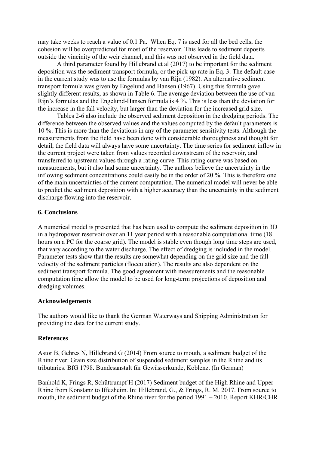may take weeks to reach a value of 0.1 Pa. When Eq. 7 is used for all the bed cells, the cohesion will be overpredicted for most of the reservoir. This leads to sediment deposits outside the vincinity of the weir channel, and this was not observed in the field data.

 A third parameter found by Hillebrand et al (2017) to be important for the sediment deposition was the sediment transport formula, or the pick-up rate in Eq. 3. The default case in the current study was to use the formulas by van Rijn (1982). An alternative sediment transport formula was given by Engelund and Hansen (1967). Using this formula gave slightly different results, as shown in Table 6. The average deviation between the use of van Rijn's formulas and the Engelund-Hansen formula is 4 %. This is less than the deviation for the increase in the fall velocity, but larger than the deviation for the increased grid size.

 Tables 2-6 also include the observed sediment deposition in the dredging periods. The difference between the observed values and the values computed by the default parameters is 10 %. This is more than the deviations in any of the parameter sensitivity tests. Although the measurements from the field have been done with considerable thoroughness and thought for detail, the field data will always have some uncertainty. The time series for sediment inflow in the current project were taken from values recorded downstream of the reservoir, and transferred to upstream values through a rating curve. This rating curve was based on measurements, but it also had some uncertainty. The authors believe the uncertainty in the inflowing sediment concentrations could easily be in the order of 20 %. This is therefore one of the main uncertainties of the current computation. The numerical model will never be able to predict the sediment deposition with a higher accuracy than the uncertainty in the sediment discharge flowing into the reservoir.

#### **6. Conclusions**

A numerical model is presented that has been used to compute the sediment deposition in 3D in a hydropower reservoir over an 11 year period with a reasonable computational time (18 hours on a PC for the coarse grid). The model is stable even though long time steps are used, that vary according to the water discharge. The effect of dredging is included in the model. Parameter tests show that the results are somewhat depending on the grid size and the fall velocity of the sediment particles (flocculation). The results are also dependent on the sediment transport formula. The good agreement with measurements and the reasonable computation time allow the model to be used for long-term projections of deposition and dredging volumes.

#### **Acknowledgements**

The authors would like to thank the German Waterways and Shipping Administration for providing the data for the current study.

## **References**

Astor B, Gehres N, Hillebrand G (2014) From source to mouth, a sediment budget of the Rhine river: Grain size distribution of suspended sediment samples in the Rhine and its tributaries. BfG 1798. Bundesanstalt für Gewässerkunde, Koblenz. (In German)

Banhold K, Frings R, Schüttrumpf H (2017) Sediment budget of the High Rhine and Upper Rhine from Konstanz to Iffezheim. In: Hillebrand, G., & Frings, R. M. 2017. From source to mouth, the sediment budget of the Rhine river for the period 1991 – 2010. Report KHR/CHR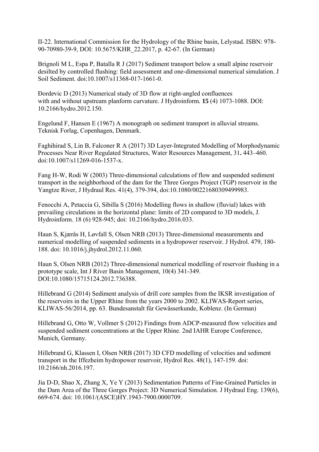II-22. International Commission for the Hydrology of the Rhine basin, Lelystad. ISBN: 978- 90-70980-39-9, DOI: 10.5675/KHR\_22.2017, p. 42-67. (In German)

Brignoli M L, Espa P, Batalla R J (2017) Sediment transport below a small alpine reservoir desilted by controlled flushing: field assessment and one-dimensional numerical simulation. J Soil Sediment. doi:10.1007/s11368-017-1661-0.

Ðorde̵vic D (2013) Numerical study of 3D flow at right-angled confluences with and without upstream planform curvature. J Hydroinform*.* **15** (4) 1073-1088. DOI: 10.2166/hydro.2012.150.

Engelund F, Hansen E (1967) A monograph on sediment transport in alluvial streams. Teknisk Forlag, Copenhagen, Denmark.

Faghihirad S, Lin B, Falconer R A (2017) 3D Layer-Integrated Modelling of Morphodynamic Processes Near River Regulated Structures, Water Resources Management, 31**.** 443–460. doi:10.1007/s11269-016-1537-x.

Fang H-W, Rodi W (2003) Three-dimensional calculations of flow and suspended sediment transport in the neighborhood of the dam for the Three Gorges Project (TGP) reservoir in the Yangtze River, J Hydraul Res. 41(4), 379-394, doi:10.1080/00221680309499983.

Fenocchi A, Petaccia G, Sibilla S (2016) Modelling flows in shallow (fluvial) lakes with prevailing circulations in the horizontal plane: limits of 2D compared to 3D models, J. Hydroinform. 18 (6) 928-945; doi: 10.2166/hydro.2016.033.

Haun S, Kjærås H, Løvfall S, Olsen NRB (2013) Three-dimensional measurements and numerical modelling of suspended sediments in a hydropower reservoir. J Hydrol. 479, 180- 188. doi: 10.1016/j.jhydrol.2012.11.060.

Haun S, Olsen NRB (2012) Three-dimensional numerical modelling of reservoir flushing in a prototype scale, Int J River Basin Management, 10(4) 341-349. DOI:10.1080/15715124.2012.736388.

Hillebrand G (2014) Sediment analysis of drill core samples from the IKSR investigation of the reservoirs in the Upper Rhine from the years 2000 to 2002. KLIWAS-Report series, KLIWAS-56/2014, pp. 63. Bundesanstalt für Gewässerkunde, Koblenz. (In German)

Hillebrand G, Otto W, Vollmer S (2012) Findings from ADCP-measured flow velocities and suspended sediment concentrations at the Upper Rhine. 2nd IAHR Europe Conference, Munich, Germany.

Hillebrand G, Klassen I, Olsen NRB (2017) 3D CFD modelling of velocities and sediment transport in the Iffezheim hydropower reservoir, Hydrol Res. 48(1), 147-159. doi: 10.2166/nh.2016.197.

Jia D-D, Shao X, Zhang X, Ye Y (2013) Sedimentation Patterns of Fine-Grained Particles in the Dam Area of the Three Gorges Project: 3D Numerical Simulation. J Hydraul Eng. 139(6), 669-674. doi: 10.1061/(ASCE)HY.1943-7900.0000709.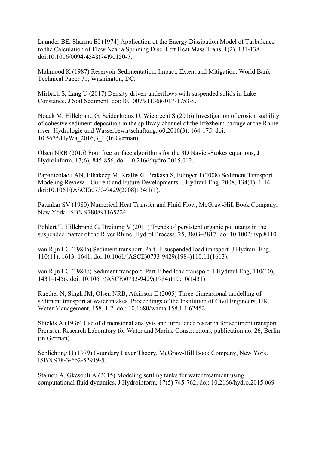Launder BE, Sharma BI (1974) Application of the Energy Dissipation Model of Turbulence to the Calculation of Flow Near a Spinning Disc. Lett Heat Mass Trans. 1(2), 131-138. doi:10.1016/0094-4548(74)90150-7.

Mahmood K (1987) Reservoir Sedimentation: Impact, Extent and Mitigation. World Bank Technical Paper 71, Washington, DC.

Mirbach S, Lang U (2017) Density-driven underflows with suspended solids in Lake Constance, J Soil Sediment. doi:10.1007/s11368-017-1753-x.

Noack M, Hillebrand G, Seidenkranz U, Wieprecht S (2016) Investigation of erosion stability of cohesive sediment deposition in the spillway channel of the Iffezheim barrage at the Rhine river. Hydrologie und Wasserbewirtschaftung, 60.2016(3), 164-175. doi: 10.5675/HyWa\_2016,3\_1 (In German)

Olsen NRB (2015) Four free surface algorithms for the 3D Navier-Stokes equations, J Hydroinform. 17(6), 845-856. doi: 10.2166/hydro.2015.012.

Papanicolaou AN, Elhakeep M, Krallis G, Prakash S, Edinger J (2008) Sediment Transport Modeling Review—Current and Future Developments, J Hydraul Eng. 2008, 134(1): 1-14. doi:10.1061/(ASCE)0733-9429(2008)134:1(1).

Patankar SV (1980) Numerical Heat Transfer and Fluid Flow, McGraw-Hill Book Company, New York. ISBN 9780891165224.

Pohlert T, Hillebrand G, Breitung V (2011) Trends of persistent organic pollutants in the suspended matter of the River Rhine. Hydrol Process. 25, 3803–3817. doi:10.1002/hyp.8110.

van Rijn LC (1984a) Sediment transport. Part II: suspended load transport. J Hydraul Eng, 110(11), 1613–1641. doi:10.1061/(ASCE)0733-9429(1984)110:11(1613).

van Rijn LC (1984b) Sediment transport. Part I: bed load transport. J Hydraul Eng, 110(10), 1431–1456. doi: 10.1061/(ASCE)0733-9429(1984)110:10(1431)

Ruether N, Singh JM, Olsen NRB, Atkinson E (2005) Three-dimensional modelling of sediment transport at water intakes. Proceedings of the Institution of Civil Engineers, UK, Water Management, 158, 1-7. doi: 10.1680/wama.158.1.1.62452.

Shields A (1936) Use of dimensional analysis and turbulence research for sediment transport, Preussen Research Laboratory for Water and Marine Constructions, publication no. 26, Berlin (in German).

Schlichting H (1979) Boundary Layer Theory. McGraw-Hill Book Company, New York. ISBN 978-3-662-52919-5.

Stamou A, Gkesouli A (2015) Modeling settling tanks for water treatment using computational fluid dynamics, J Hydroinform, 17(5) 745-762; doi: 10.2166/hydro.2015.069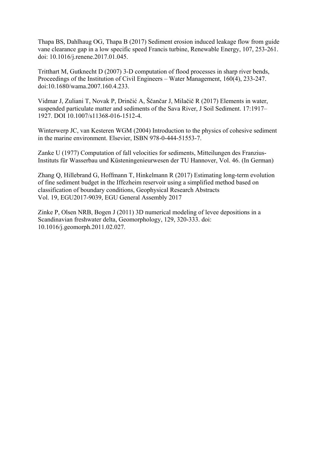Thapa BS, Dahlhaug OG, Thapa B (2017) Sediment erosion induced leakage flow from guide vane clearance gap in a low specific speed Francis turbine, Renewable Energy, 107, 253-261. doi: 10.1016/j.renene.2017.01.045.

Tritthart M, Gutknecht D (2007) 3-D computation of flood processes in sharp river bends, Proceedings of the Institution of Civil Engineers – Water Management, 160(4), 233-247. doi:10.1680/wama.2007.160.4.233.

Vidmar J, Zuliani T, Novak P, Drinčić A, Ščančar J, Milačič R (2017) Elements in water, suspended particulate matter and sediments of the Sava River, J Soil Sediment. 17:1917– 1927. DOI 10.1007/s11368-016-1512-4.

Winterwerp JC, van Kesteren WGM (2004) Introduction to the physics of cohesive sediment in the marine environment. Elsevier, ISBN 978-0-444-51553-7.

Zanke U (1977) Computation of fall velocities for sediments, Mitteilungen des Franzius-Instituts für Wasserbau und Küsteningenieurwesen der TU Hannover, Vol. 46. (In German)

Zhang Q, Hillebrand G, Hoffmann T, Hinkelmann R (2017) Estimating long-term evolution of fine sediment budget in the Iffezheim reservoir using a simplified method based on classification of boundary conditions, Geophysical Research Abstracts Vol. 19, EGU2017-9039, EGU General Assembly 2017

Zinke P, Olsen NRB, Bogen J (2011) 3D numerical modeling of levee depositions in a Scandinavian freshwater delta, Geomorphology, 129, 320-333. doi: 10.1016/j.geomorph.2011.02.027.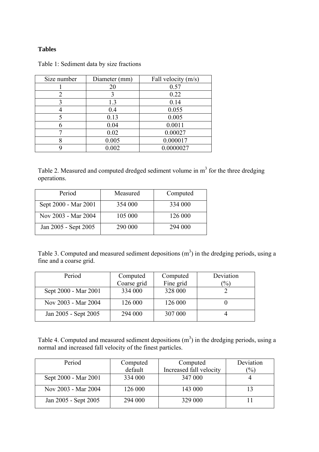### **Tables**

| Size number                 | Diameter (mm) | Fall velocity (m/s) |
|-----------------------------|---------------|---------------------|
|                             | 20            | 0.57                |
| $\mathcal{D}_{\mathcal{A}}$ | 3             | 0.22                |
| 3                           | 1.3           | 0.14                |
|                             | 0.4           | 0.055               |
| 5                           | 0.13          | 0.005               |
|                             | 0.04          | 0.0011              |
|                             | 0.02          | 0.00027             |
|                             | 0.005         | 0.000017            |
|                             | 0.002         | 0.0000027           |

Table 1: Sediment data by size fractions

Table 2. Measured and computed dredged sediment volume in  $m<sup>3</sup>$  for the three dredging operations.

| Period               | Measured | Computed |
|----------------------|----------|----------|
| Sept 2000 - Mar 2001 | 354 000  | 334 000  |
| Nov 2003 - Mar 2004  | 105 000  | 126 000  |
| Jan 2005 - Sept 2005 | 290 000  | 294 000  |

Table 3. Computed and measured sediment depositions  $(m<sup>3</sup>)$  in the dredging periods, using a fine and a coarse grid.

| Period               | Computed    | Computed  | Deviation       |
|----------------------|-------------|-----------|-----------------|
|                      | Coarse grid | Fine grid | $\frac{(0)}{0}$ |
| Sept 2000 - Mar 2001 | 334 000     | 328 000   |                 |
| Nov 2003 - Mar 2004  | 126 000     | 126 000   |                 |
| Jan 2005 - Sept 2005 | 294 000     | 307 000   |                 |

Table 4. Computed and measured sediment depositions  $(m<sup>3</sup>)$  in the dredging periods, using a normal and increased fall velocity of the finest particles.

| Period               | Computed | Computed                | Deviation         |
|----------------------|----------|-------------------------|-------------------|
|                      | default  | Increased fall velocity | $\frac{(0)}{(0)}$ |
| Sept 2000 - Mar 2001 | 334 000  | 347 000                 |                   |
| Nov 2003 - Mar 2004  | 126 000  | 143 000                 |                   |
| Jan 2005 - Sept 2005 | 294 000  | 329 000                 |                   |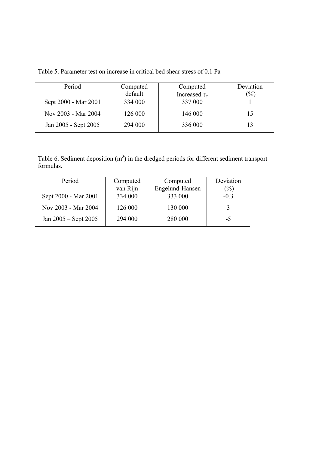| Period               | Computed | Computed           | Deviation     |
|----------------------|----------|--------------------|---------------|
|                      | default  | Increased $\tau_c$ | $\frac{1}{2}$ |
| Sept 2000 - Mar 2001 | 334 000  | 337 000            |               |
| Nov 2003 - Mar 2004  | 126 000  | 146 000            |               |
| Jan 2005 - Sept 2005 | 294 000  | 336 000            |               |

Table 5. Parameter test on increase in critical bed shear stress of 0.1 Pa

Table 6. Sediment deposition  $(m^3)$  in the dredged periods for different sediment transport formulas.

| Period                   | Computed | Computed        | Deviation        |
|--------------------------|----------|-----------------|------------------|
|                          | van Rijn | Engelund-Hansen | $\mathcal{O}'_0$ |
| Sept 2000 - Mar 2001     | 334 000  | 333 000         | $-03$            |
| Nov 2003 - Mar 2004      | 126 000  | 130 000         |                  |
| Jan $2005 -$ Sept $2005$ | 294 000  | 280 000         | -5               |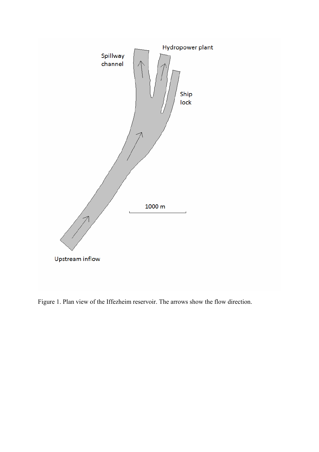

Figure 1. Plan view of the Iffezheim reservoir. The arrows show the flow direction.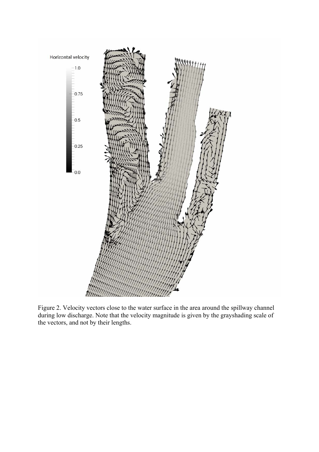

Figure 2. Velocity vectors close to the water surface in the area around the spillway channel during low discharge. Note that the velocity magnitude is given by the grayshading scale of the vectors, and not by their lengths.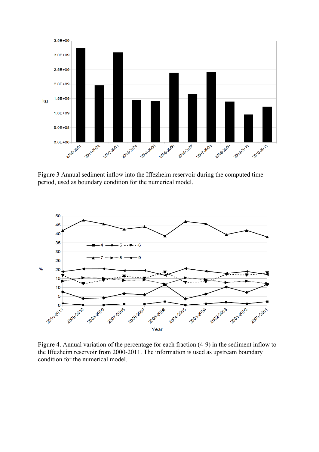

Figure 3 Annual sediment inflow into the Iffezheim reservoir during the computed time period, used as boundary condition for the numerical model.



Figure 4. Annual variation of the percentage for each fraction (4-9) in the sediment inflow to the Iffezheim reservoir from 2000-2011. The information is used as upstream boundary condition for the numerical model.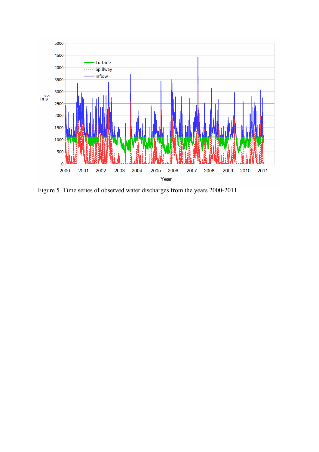

Figure 5. Time series of observed water discharges from the years 2000-2011.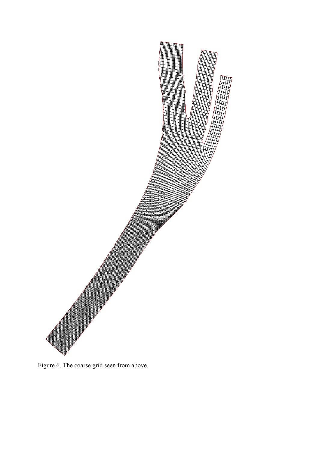

Figure 6. The coarse grid seen from above.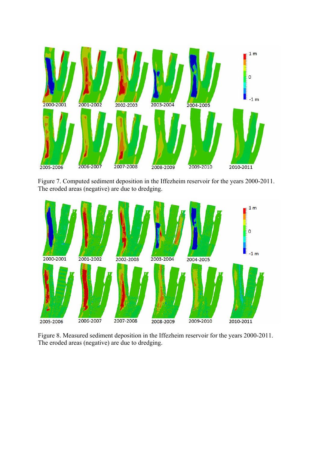

Figure 7. Computed sediment deposition in the Iffezheim reservoir for the years 2000-2011. The eroded areas (negative) are due to dredging.



Figure 8. Measured sediment deposition in the Iffezheim reservoir for the years 2000-2011. The eroded areas (negative) are due to dredging.